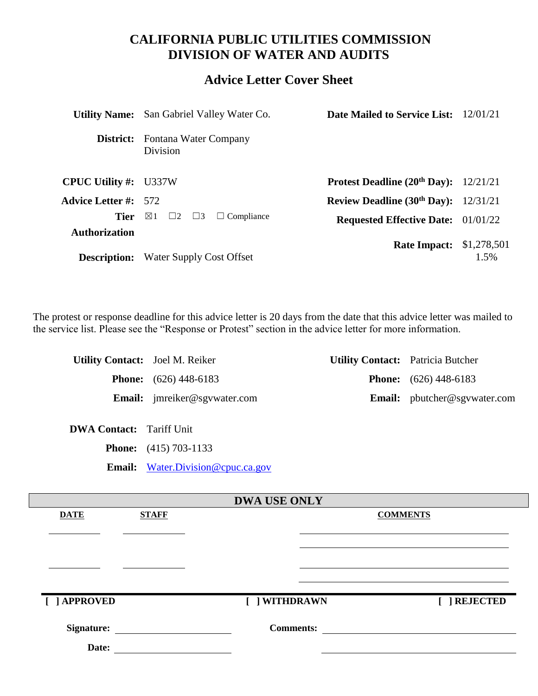# **CALIFORNIA PUBLIC UTILITIES COMMISSION DIVISION OF WATER AND AUDITS**

# **Advice Letter Cover Sheet**

|                              | <b>Utility Name:</b> San Gabriel Valley Water Co.         | <b>Date Mailed to Service List:</b> 12/01/21   |                     |
|------------------------------|-----------------------------------------------------------|------------------------------------------------|---------------------|
|                              | <b>District:</b> Fontana Water Company<br><b>Division</b> |                                                |                     |
| <b>CPUC Utility #: U337W</b> |                                                           | <b>Protest Deadline (20th Day):</b> $12/21/21$ |                     |
| <b>Advice Letter #:</b> 572  |                                                           | Review Deadline $(30th Day)$ : 12/31/21        |                     |
| Tier                         | $\boxtimes$ 1<br>$\Box 2$ $\Box 3$<br>$\Box$ Compliance   | <b>Requested Effective Date:</b> 01/01/22      |                     |
| <b>Authorization</b>         | <b>Description:</b> Water Supply Cost Offset              | <b>Rate Impact:</b>                            | \$1,278,501<br>1.5% |
|                              |                                                           |                                                |                     |

The protest or response deadline for this advice letter is 20 days from the date that this advice letter was mailed to the service list. Please see the "Response or Protest" section in the advice letter for more information.

| <b>Utility Contact:</b> Joel M. Reiker |                                       | <b>Utility Contact:</b> Patricia Butcher |                                     |
|----------------------------------------|---------------------------------------|------------------------------------------|-------------------------------------|
|                                        | <b>Phone:</b> $(626)$ 448-6183        |                                          | <b>Phone:</b> $(626)$ 448-6183      |
|                                        | <b>Email:</b> $imreiker@sgvwater.com$ |                                          | <b>Email:</b> pbutcher@sgywater.com |

**DWA Contact:** Tariff Unit

**Phone:** (415) 703-1133

**Email:** [Water.Division@cpuc.ca.gov](mailto:Water.Division@cpuc.ca.gov)

| <b>DWA USE ONLY</b> |              |                  |                 |
|---------------------|--------------|------------------|-----------------|
| <b>DATE</b>         | <b>STAFF</b> |                  | <b>COMMENTS</b> |
|                     |              |                  |                 |
|                     |              |                  |                 |
|                     |              |                  |                 |
|                     |              |                  |                 |
|                     |              |                  |                 |
|                     |              |                  |                 |
| [ ] APPROVED        |              | [ ] WITHDRAWN    | [ ] REJECTED    |
|                     |              |                  |                 |
| <b>Signature:</b>   |              | <b>Comments:</b> |                 |
| Date:               |              |                  |                 |
|                     |              |                  |                 |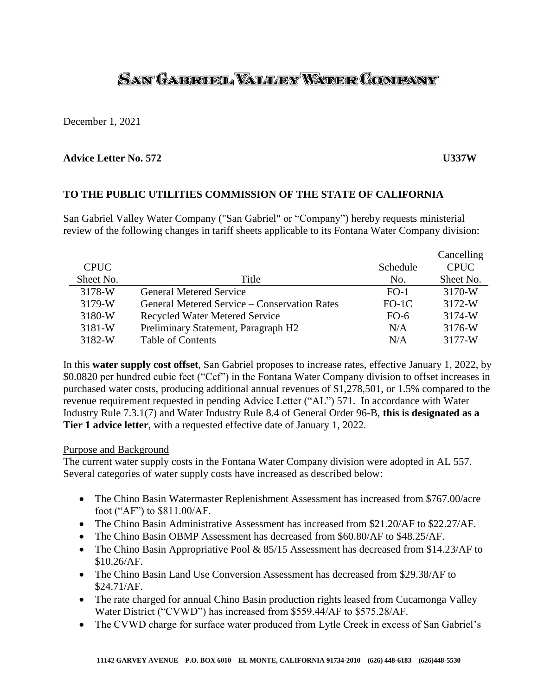# SAN GABRUEL VALLEY WATER COMPANY

December 1, 2021

# **Advice Letter No. 572 U337W**

# **TO THE PUBLIC UTILITIES COMMISSION OF THE STATE OF CALIFORNIA**

San Gabriel Valley Water Company ("San Gabriel" or "Company") hereby requests ministerial review of the following changes in tariff sheets applicable to its Fontana Water Company division:

|             |                                              |          | Cancelling  |
|-------------|----------------------------------------------|----------|-------------|
| <b>CPUC</b> |                                              | Schedule | <b>CPUC</b> |
| Sheet No.   | Title                                        | No.      | Sheet No.   |
| 3178-W      | <b>General Metered Service</b>               | $FO-1$   | 3170-W      |
| 3179-W      | General Metered Service – Conservation Rates | $FO-1C$  | 3172-W      |
| 3180-W      | <b>Recycled Water Metered Service</b>        | $FO-6$   | 3174-W      |
| $3181-W$    | Preliminary Statement, Paragraph H2          | N/A      | 3176-W      |
| 3182-W      | <b>Table of Contents</b>                     | N/A      | 3177-W      |

In this **water supply cost offset**, San Gabriel proposes to increase rates, effective January 1, 2022, by \$0.0820 per hundred cubic feet ("Ccf") in the Fontana Water Company division to offset increases in purchased water costs, producing additional annual revenues of \$1,278,501, or 1.5% compared to the revenue requirement requested in pending Advice Letter ("AL") 571. In accordance with Water Industry Rule 7.3.1(7) and Water Industry Rule 8.4 of General Order 96-B, **this is designated as a Tier 1 advice letter**, with a requested effective date of January 1, 2022.

# Purpose and Background

The current water supply costs in the Fontana Water Company division were adopted in AL 557. Several categories of water supply costs have increased as described below:

- The Chino Basin Watermaster Replenishment Assessment has increased from \$767.00/acre foot ("AF") to \$811.00/AF.
- The Chino Basin Administrative Assessment has increased from \$21.20/AF to \$22.27/AF.
- The Chino Basin OBMP Assessment has decreased from \$60.80/AF to \$48.25/AF.
- The Chino Basin Appropriative Pool & 85/15 Assessment has decreased from \$14.23/AF to \$10.26/AF.
- The Chino Basin Land Use Conversion Assessment has decreased from \$29.38/AF to \$24.71/AF.
- The rate charged for annual Chino Basin production rights leased from Cucamonga Valley Water District ("CVWD") has increased from \$559.44/AF to \$575.28/AF.
- The CVWD charge for surface water produced from Lytle Creek in excess of San Gabriel's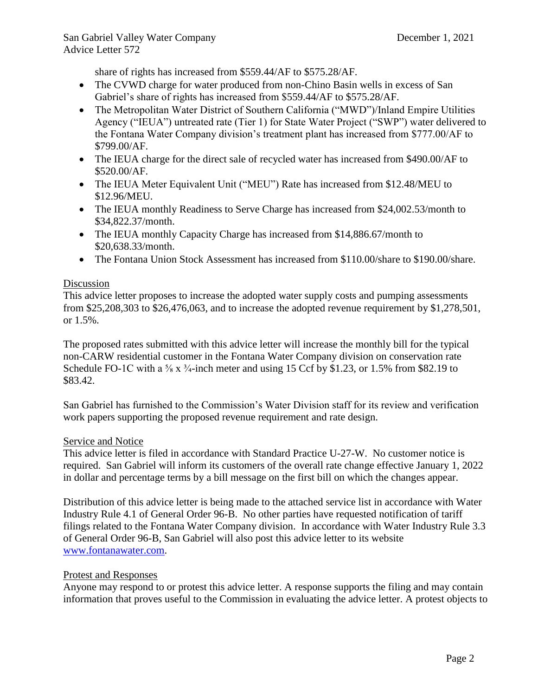share of rights has increased from \$559.44/AF to \$575.28/AF.

- The CVWD charge for water produced from non-Chino Basin wells in excess of San Gabriel's share of rights has increased from \$559.44/AF to \$575.28/AF.
- The Metropolitan Water District of Southern California ("MWD")/Inland Empire Utilities Agency ("IEUA") untreated rate (Tier 1) for State Water Project ("SWP") water delivered to the Fontana Water Company division's treatment plant has increased from \$777.00/AF to \$799.00/AF.
- The IEUA charge for the direct sale of recycled water has increased from \$490.00/AF to \$520.00/AF.
- The IEUA Meter Equivalent Unit ("MEU") Rate has increased from \$12.48/MEU to \$12.96/MEU.
- The IEUA monthly Readiness to Serve Charge has increased from \$24,002.53/month to \$34,822.37/month.
- The IEUA monthly Capacity Charge has increased from \$14,886.67/month to \$20,638.33/month.
- The Fontana Union Stock Assessment has increased from \$110.00/share to \$190.00/share.

# Discussion

This advice letter proposes to increase the adopted water supply costs and pumping assessments from \$25,208,303 to \$26,476,063, and to increase the adopted revenue requirement by \$1,278,501, or 1.5%.

The proposed rates submitted with this advice letter will increase the monthly bill for the typical non-CARW residential customer in the Fontana Water Company division on conservation rate Schedule FO-1C with a  $\frac{5}{8}$  x  $\frac{3}{4}$ -inch meter and using 15 Ccf by \$1.23, or 1.5% from \$82.19 to \$83.42.

San Gabriel has furnished to the Commission's Water Division staff for its review and verification work papers supporting the proposed revenue requirement and rate design.

# Service and Notice

This advice letter is filed in accordance with Standard Practice U-27-W. No customer notice is required. San Gabriel will inform its customers of the overall rate change effective January 1, 2022 in dollar and percentage terms by a bill message on the first bill on which the changes appear.

Distribution of this advice letter is being made to the attached service list in accordance with Water Industry Rule 4.1 of General Order 96-B. No other parties have requested notification of tariff filings related to the Fontana Water Company division. In accordance with Water Industry Rule 3.3 of General Order 96-B, San Gabriel will also post this advice letter to its website [www.fontanawater.com.](http://www.fontanawater.com/)

# Protest and Responses

Anyone may respond to or protest this advice letter. A response supports the filing and may contain information that proves useful to the Commission in evaluating the advice letter. A protest objects to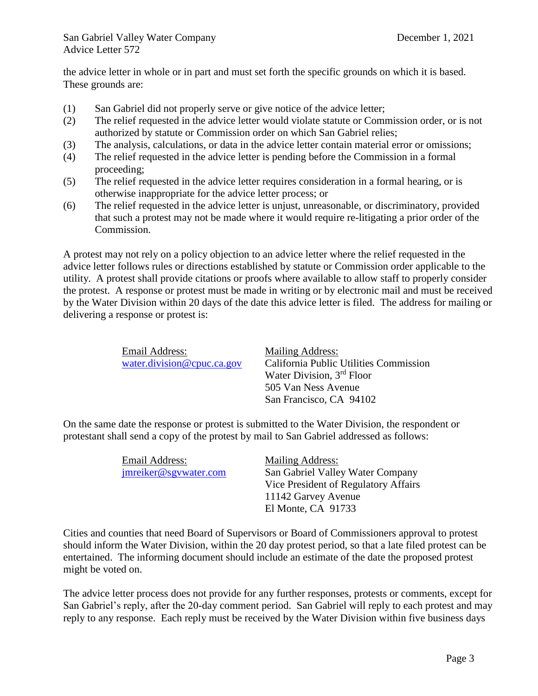the advice letter in whole or in part and must set forth the specific grounds on which it is based. These grounds are:

- (1) San Gabriel did not properly serve or give notice of the advice letter;
- (2) The relief requested in the advice letter would violate statute or Commission order, or is not authorized by statute or Commission order on which San Gabriel relies;
- (3) The analysis, calculations, or data in the advice letter contain material error or omissions;
- (4) The relief requested in the advice letter is pending before the Commission in a formal proceeding;
- (5) The relief requested in the advice letter requires consideration in a formal hearing, or is otherwise inappropriate for the advice letter process; or
- (6) The relief requested in the advice letter is unjust, unreasonable, or discriminatory, provided that such a protest may not be made where it would require re-litigating a prior order of the Commission.

A protest may not rely on a policy objection to an advice letter where the relief requested in the advice letter follows rules or directions established by statute or Commission order applicable to the utility. A protest shall provide citations or proofs where available to allow staff to properly consider the protest. A response or protest must be made in writing or by electronic mail and must be received by the Water Division within 20 days of the date this advice letter is filed. The address for mailing or delivering a response or protest is:

| Email Address:             | Mailing Address:                       |
|----------------------------|----------------------------------------|
| water.division@cpuc.ca.gov | California Public Utilities Commission |
|                            | Water Division, 3 <sup>rd</sup> Floor  |
|                            | 505 Van Ness Avenue                    |
|                            | San Francisco, CA 94102                |

On the same date the response or protest is submitted to the Water Division, the respondent or protestant shall send a copy of the protest by mail to San Gabriel addressed as follows:

| Email Address:        | Mailing Address:                     |
|-----------------------|--------------------------------------|
| jmreiker@sgywater.com | San Gabriel Valley Water Company     |
|                       | Vice President of Regulatory Affairs |
|                       | 11142 Garvey Avenue                  |
|                       | El Monte, CA 91733                   |

Cities and counties that need Board of Supervisors or Board of Commissioners approval to protest should inform the Water Division, within the 20 day protest period, so that a late filed protest can be entertained. The informing document should include an estimate of the date the proposed protest might be voted on.

The advice letter process does not provide for any further responses, protests or comments, except for San Gabriel's reply, after the 20-day comment period. San Gabriel will reply to each protest and may reply to any response. Each reply must be received by the Water Division within five business days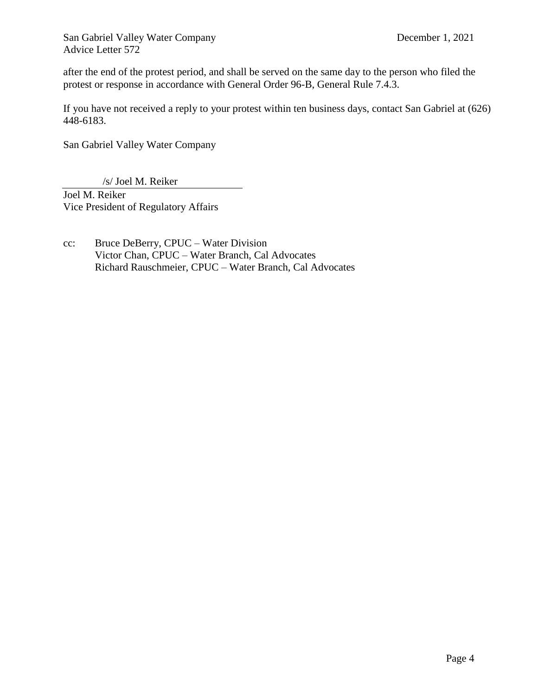after the end of the protest period, and shall be served on the same day to the person who filed the protest or response in accordance with General Order 96-B, General Rule 7.4.3.

If you have not received a reply to your protest within ten business days, contact San Gabriel at (626) 448-6183.

San Gabriel Valley Water Company

/s/ Joel M. Reiker

Joel M. Reiker Vice President of Regulatory Affairs

cc: Bruce DeBerry, CPUC – Water Division Victor Chan, CPUC – Water Branch, Cal Advocates Richard Rauschmeier, CPUC – Water Branch, Cal Advocates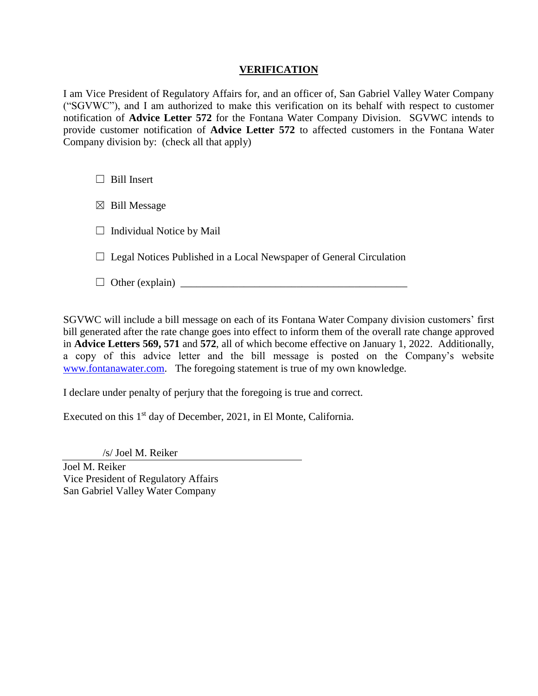# **VERIFICATION**

I am Vice President of Regulatory Affairs for, and an officer of, San Gabriel Valley Water Company ("SGVWC"), and I am authorized to make this verification on its behalf with respect to customer notification of **Advice Letter 572** for the Fontana Water Company Division. SGVWC intends to provide customer notification of **Advice Letter 572** to affected customers in the Fontana Water Company division by: (check all that apply)

 $\Box$  Bill Insert

 $\boxtimes$  Bill Message

 $\Box$  Individual Notice by Mail

 $\Box$  Legal Notices Published in a Local Newspaper of General Circulation

 $\Box$  Other (explain)  $\Box$ 

SGVWC will include a bill message on each of its Fontana Water Company division customers' first bill generated after the rate change goes into effect to inform them of the overall rate change approved in **Advice Letters 569, 571** and **572**, all of which become effective on January 1, 2022. Additionally, a copy of this advice letter and the bill message is posted on the Company's website [www.fontanawater.com.](http://www.fontanawater.com/) The foregoing statement is true of my own knowledge.

I declare under penalty of perjury that the foregoing is true and correct.

Executed on this 1<sup>st</sup> day of December, 2021, in El Monte, California.

/s/ Joel M. Reiker

Joel M. Reiker Vice President of Regulatory Affairs San Gabriel Valley Water Company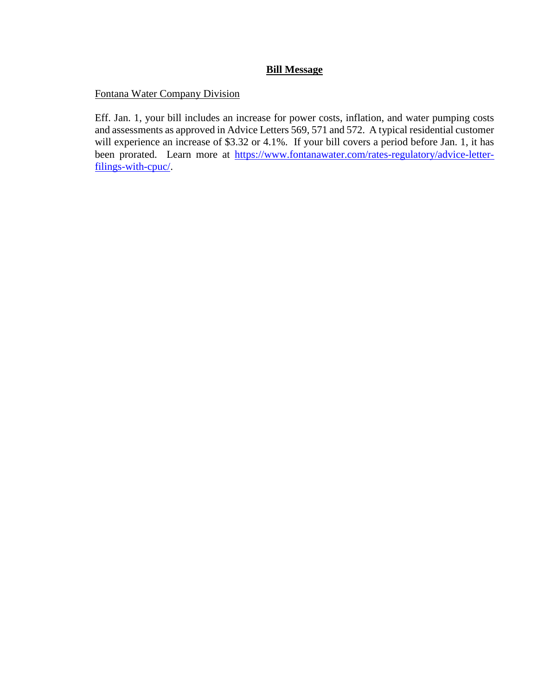# **Bill Message**

Fontana Water Company Division

Eff. Jan. 1, your bill includes an increase for power costs, inflation, and water pumping costs and assessments as approved in Advice Letters 569, 571 and 572. A typical residential customer will experience an increase of \$3.32 or 4.1%. If your bill covers a period before Jan. 1, it has been prorated. Learn more at [https://www.fontanawater.com/rates-regulatory/advice-letter](https://www.fontanawater.com/rates-regulatory/advice-letter-filings-with-cpuc/)[filings-with-cpuc/.](https://www.fontanawater.com/rates-regulatory/advice-letter-filings-with-cpuc/)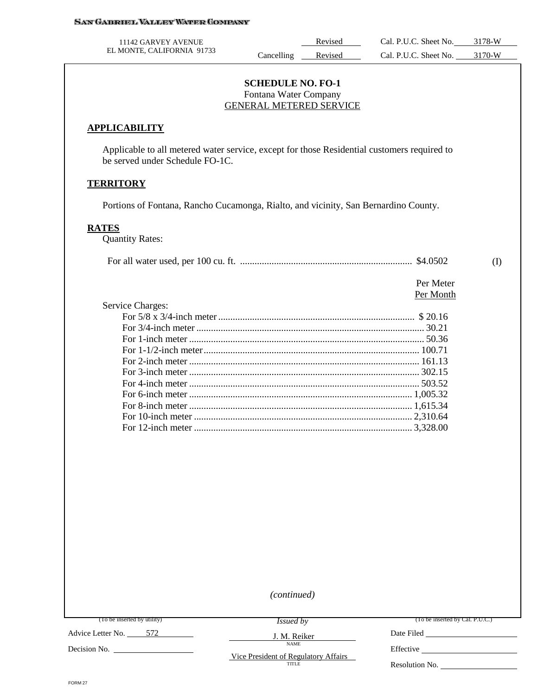| 11142 GARVEY AVENUE        |           | Revised | Cal. P.U.C. Sheet No. | 3178-W |
|----------------------------|-----------|---------|-----------------------|--------|
| EL MONTE, CALIFORNIA 91733 | ancelling | Revised | Cal. P.U.C. Sheet No. | 3170-W |

## **SCHEDULE NO. FO-1** Fontana Water Company GENERAL METERED SERVICE

#### **APPLICABILITY**

Applicable to all metered water service, except for those Residential customers required to be served under Schedule FO-1C.

#### **TERRITORY**

Portions of Fontana, Rancho Cucamonga, Rialto, and vicinity, San Bernardino County.

# **RATES**

Quantity Rates:

|--|--|--|--|

 Per Meter Per Month

| <b>Service Charges:</b> |  |
|-------------------------|--|
|                         |  |
|                         |  |
|                         |  |
|                         |  |
|                         |  |
|                         |  |
|                         |  |
|                         |  |
|                         |  |
|                         |  |
|                         |  |

*(continued)*

J. M. Reiker NAME

(To be inserted by utility)

*Issued by*

(To be inserted by Cal. P.U.C.)

Advice Letter No. 572

Decision No.

Vice President of Regulatory Affairs TITLE

Date Filed Effective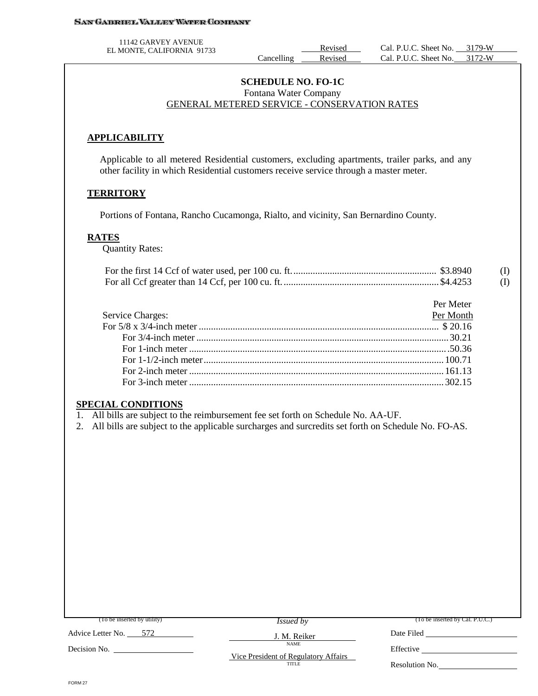#### **SAN GABRIEL VALLEY WATER COMPANY**

11142 GARVEY AVENUE

EL MONTE, CALIFORNIA 91733<br>Cancelling Revised Cal. P.U.C. Sheet No. 3179-W<br>Revised Cal. P.U.C. Sheet No. 3172-W Cal. P.U.C. Sheet No.

# **SCHEDULE NO. FO-1C** Fontana Water Company GENERAL METERED SERVICE - CONSERVATION RATES

# **APPLICABILITY**

Applicable to all metered Residential customers, excluding apartments, trailer parks, and any other facility in which Residential customers receive service through a master meter.

# **TERRITORY**

Portions of Fontana, Rancho Cucamonga, Rialto, and vicinity, San Bernardino County.

# **RATES**

Quantity Rates:

|  | (I)      |
|--|----------|
|  | $\rm(I)$ |

|                         | Per Meter |
|-------------------------|-----------|
| <b>Service Charges:</b> | Per Month |
|                         |           |
|                         |           |
|                         |           |
|                         |           |
|                         |           |
|                         |           |

# **SPECIAL CONDITIONS**

1. All bills are subject to the reimbursement fee set forth on Schedule No. AA-UF.

2. All bills are subject to the applicable surcharges and surcredits set forth on Schedule No. FO-AS.

| (To be inserted by utility) | <i>Issued by</i>                                     | (To be inserted by Cal. P.U.C.) |
|-----------------------------|------------------------------------------------------|---------------------------------|
| 572<br>Advice Letter No.    | J. M. Reiker                                         | Date Filed                      |
| Decision No.                | <b>NAME</b>                                          | Effective                       |
|                             | Vice President of Regulatory Affairs<br><b>TITLE</b> | Resolution No.                  |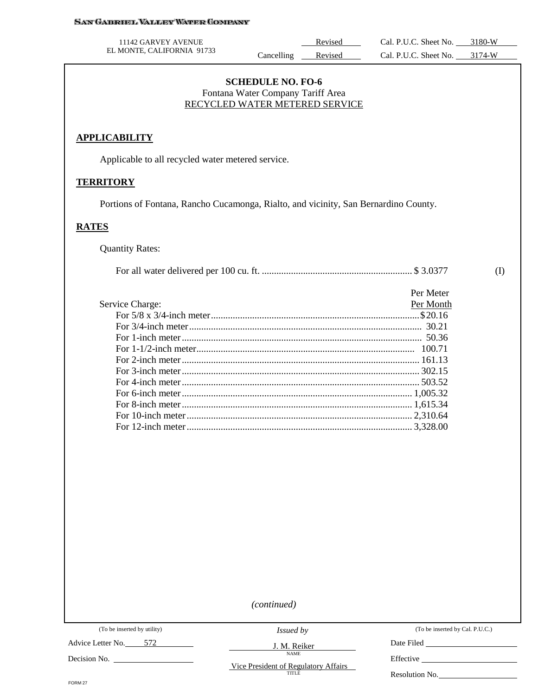#### **SAN GABRIEL VALLEY WATER COMPANY**

| 11142 GARVEY AVENUE        |            | Revised | Cal. P.U.C. Sheet No. | 3180-W              |
|----------------------------|------------|---------|-----------------------|---------------------|
| EL MONTE, CALIFORNIA 91733 | ancelling' | Revised | Cal. P.U.C. Sheet No. | 3174 <sub>-</sub> W |

# **SCHEDULE NO. FO-6** Fontana Water Company Tariff Area RECYCLED WATER METERED SERVICE

# **APPLICABILITY**

Applicable to all recycled water metered service.

#### **TERRITORY**

Portions of Fontana, Rancho Cucamonga, Rialto, and vicinity, San Bernardino County.

# **RATES**

Quantity Rates:

|                 | Per Meter |
|-----------------|-----------|
| Service Charge: | Per Month |
|                 |           |
|                 |           |
|                 |           |
|                 |           |
|                 |           |
|                 |           |
|                 |           |
|                 |           |
|                 |           |
|                 |           |
|                 |           |

*(continued)*

(To be inserted by utility)

Advice Letter No. 572

Decision No.

*Issued by*

J. M. Reiker NAME

(To be inserted by Cal. P.U.C.)

(I)

Date Filed

Effective

Vice President of Regulatory Affairs

FORM 27

Resolution No.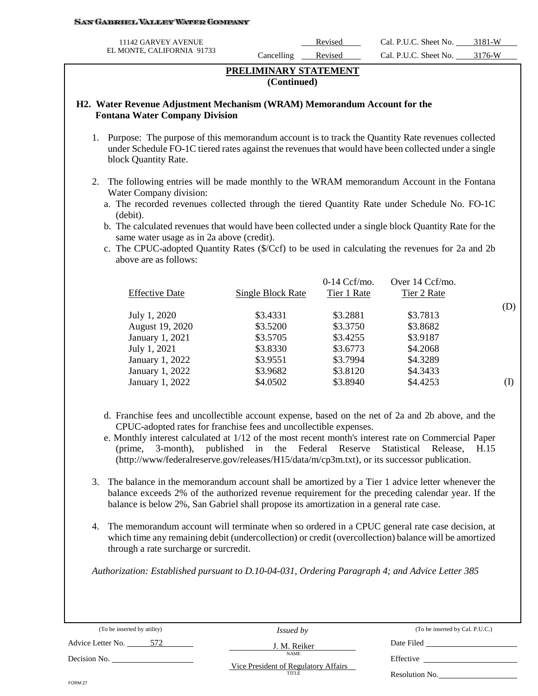#### SAN GABROEL VALLEY WATER COMPANY

| 11142 GARVEY AVENUE        |            | Revised | Cal. P.U.C. Sheet No. | 3181-W |
|----------------------------|------------|---------|-----------------------|--------|
| EL MONTE, CALIFORNIA 91733 | ancelling_ | Revised | Cal. P.U.C. Sheet No. | 3176-W |

# **PRELIMINARY STATEMENT (Continued)**

# **H2. Water Revenue Adjustment Mechanism (WRAM) Memorandum Account for the Fontana Water Company Division**

- 1. Purpose: The purpose of this memorandum account is to track the Quantity Rate revenues collected under Schedule FO-1C tiered rates against the revenues that would have been collected under a single block Quantity Rate.
- 2. The following entries will be made monthly to the WRAM memorandum Account in the Fontana Water Company division:
	- a. The recorded revenues collected through the tiered Quantity Rate under Schedule No. FO-1C (debit).
	- b. The calculated revenues that would have been collected under a single block Quantity Rate for the same water usage as in 2a above (credit).
	- c. The CPUC-adopted Quantity Rates (\$/Ccf) to be used in calculating the revenues for 2a and 2b above are as follows:

|                       |                   | $0-14$ Ccf/mo. | Over 14 Ccf/mo. |     |
|-----------------------|-------------------|----------------|-----------------|-----|
| <b>Effective Date</b> | Single Block Rate | Tier 1 Rate    | Tier 2 Rate     |     |
|                       |                   |                |                 | (D) |
| July 1, 2020          | \$3.4331          | \$3.2881       | \$3.7813        |     |
| August 19, 2020       | \$3.5200          | \$3.3750       | \$3.8682        |     |
| January 1, 2021       | \$3.5705          | \$3.4255       | \$3.9187        |     |
| July 1, 2021          | \$3.8330          | \$3.6773       | \$4.2068        |     |
| January 1, 2022       | \$3.9551          | \$3.7994       | \$4.3289        |     |
| January 1, 2022       | \$3.9682          | \$3.8120       | \$4.3433        |     |
| January 1, 2022       | \$4.0502          | \$3.8940       | \$4.4253        | (1) |

- d. Franchise fees and uncollectible account expense, based on the net of 2a and 2b above, and the CPUC-adopted rates for franchise fees and uncollectible expenses.
- e. Monthly interest calculated at 1/12 of the most recent month's interest rate on Commercial Paper (prime, 3-month), published in the Federal Reserve Statistical Release, H.15 (http://www/federalreserve.gov/releases/H15/data/m/cp3m.txt), or its successor publication.
- 3. The balance in the memorandum account shall be amortized by a Tier 1 advice letter whenever the balance exceeds 2% of the authorized revenue requirement for the preceding calendar year. If the balance is below 2%, San Gabriel shall propose its amortization in a general rate case.
- 4. The memorandum account will terminate when so ordered in a CPUC general rate case decision, at which time any remaining debit (undercollection) or credit (overcollection) balance will be amortized through a rate surcharge or surcredit.

*Authorization: Established pursuant to D.10-04-031, Ordering Paragraph 4; and Advice Letter 385* 

(To be inserted by utility)

(To be inserted by Cal. P.U.C.)

Advice Letter No. 572

*Issued by* J. M. Reiker

NAME

Date Filed

Decision No.

Vice President of Regulatory Affairs **TITLE** 

Resolution No.

Effective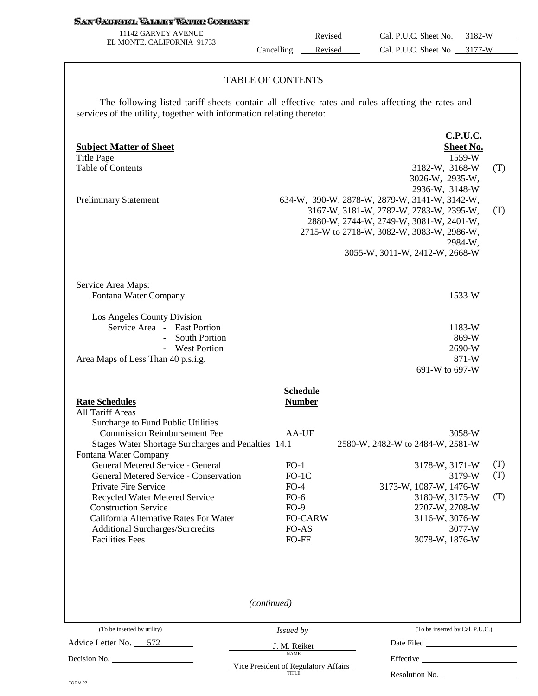#### **SAN GABRIEL VALLEY WATER COMPANY**

11142 GARVEY AVENUE EL MONTE, CALIFORNIA 91733

Revised Cal. P.U.C. Sheet No. 3182-W Cancelling Revised Cal. P.U.C. Sheet No. 3177-W

### TABLE OF CONTENTS

The following listed tariff sheets contain all effective rates and rules affecting the rates and services of the utility, together with information relating thereto:

| <b>Subject Matter of Sheet</b><br><b>Title Page</b><br><b>Table of Contents</b>                                                                                              |                                                      | <b>C.P.U.C.</b><br><b>Sheet No.</b><br>1559-W<br>3182-W, 3168-W<br>3026-W, 2935-W,                                                                                                                                                              | (T)        |
|------------------------------------------------------------------------------------------------------------------------------------------------------------------------------|------------------------------------------------------|-------------------------------------------------------------------------------------------------------------------------------------------------------------------------------------------------------------------------------------------------|------------|
| <b>Preliminary Statement</b>                                                                                                                                                 |                                                      | 2936-W, 3148-W<br>634-W, 390-W, 2878-W, 2879-W, 3141-W, 3142-W,<br>3167-W, 3181-W, 2782-W, 2783-W, 2395-W,<br>2880-W, 2744-W, 2749-W, 3081-W, 2401-W,<br>2715-W to 2718-W, 3082-W, 3083-W, 2986-W,<br>2984-W,<br>3055-W, 3011-W, 2412-W, 2668-W | (T)        |
| Service Area Maps:<br>Fontana Water Company                                                                                                                                  |                                                      | 1533-W                                                                                                                                                                                                                                          |            |
| Los Angeles County Division<br>Service Area - East Portion<br><b>South Portion</b><br>$\blacksquare$<br>- West Portion<br>Area Maps of Less Than 40 p.s.i.g.                 |                                                      | 1183-W<br>869-W<br>2690-W<br>871-W<br>691-W to 697-W                                                                                                                                                                                            |            |
| <b>Rate Schedules</b><br><b>All Tariff Areas</b><br>Surcharge to Fund Public Utilities<br><b>Commission Reimbursement Fee</b>                                                | <b>Schedule</b><br><b>Number</b>                     |                                                                                                                                                                                                                                                 |            |
| Stages Water Shortage Surcharges and Penalties 14.1<br>Fontana Water Company                                                                                                 | AA-UF                                                | 3058-W<br>2580-W, 2482-W to 2484-W, 2581-W                                                                                                                                                                                                      |            |
| General Metered Service - General<br>General Metered Service - Conservation<br>Private Fire Service                                                                          | $FO-1$<br>$FO-1C$<br>$FO-4$                          | 3178-W, 3171-W<br>3179-W<br>3173-W, 1087-W, 1476-W                                                                                                                                                                                              | (T)<br>(T) |
| Recycled Water Metered Service<br><b>Construction Service</b><br>California Alternative Rates For Water<br><b>Additional Surcharges/Surcredits</b><br><b>Facilities Fees</b> | $FO-6$<br>$FO-9$<br><b>FO-CARW</b><br>FO-AS<br>FO-FF | 3180-W, 3175-W<br>2707-W, 2708-W<br>3116-W, 3076-W<br>3077-W<br>3078-W, 1876-W                                                                                                                                                                  | (T)        |
|                                                                                                                                                                              |                                                      |                                                                                                                                                                                                                                                 |            |
|                                                                                                                                                                              | (continued)                                          |                                                                                                                                                                                                                                                 |            |
| (To be inserted by utility)                                                                                                                                                  | <i>Issued by</i>                                     | (To be inserted by Cal. P.U.C.)                                                                                                                                                                                                                 |            |
| Advice Letter No. 572                                                                                                                                                        | J. M. Reiker                                         |                                                                                                                                                                                                                                                 |            |
|                                                                                                                                                                              | <b>NAME</b><br>Vice President of Regulatory Affairs  |                                                                                                                                                                                                                                                 |            |
| FORM 27                                                                                                                                                                      | TITLE                                                | Resolution No.                                                                                                                                                                                                                                  |            |